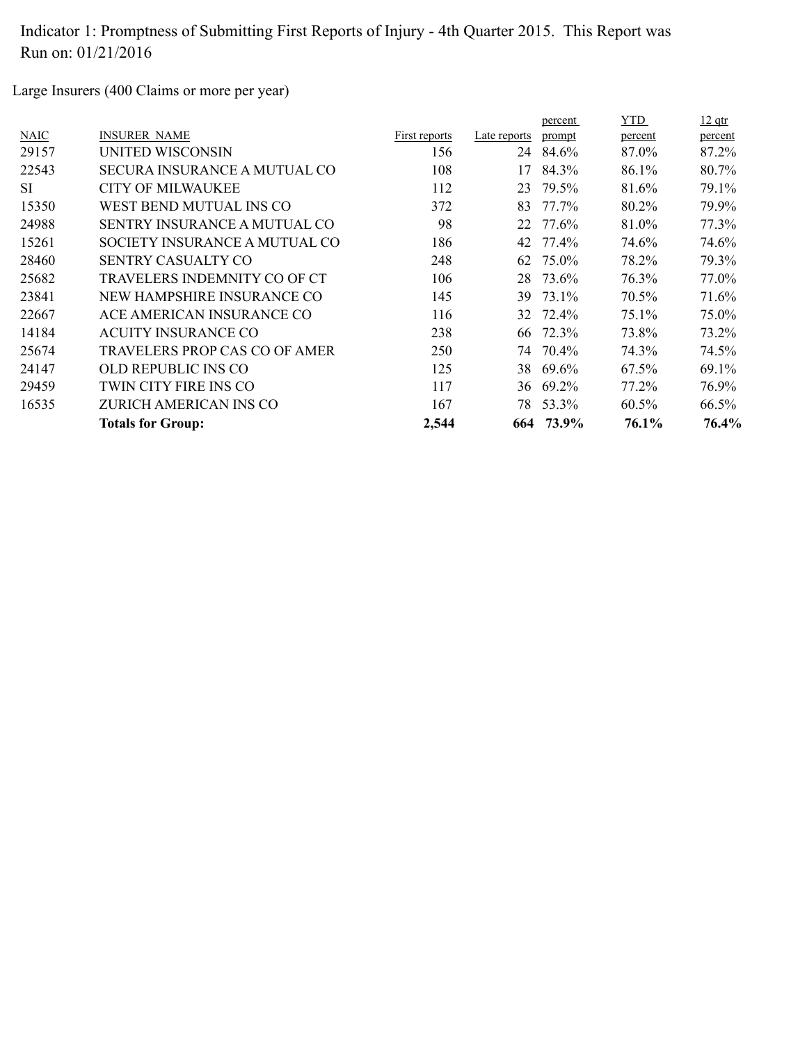Large Insurers (400 Claims or more per year)

|       |                                     |               |              | percent  | YTD.     | $12$ qtr |
|-------|-------------------------------------|---------------|--------------|----------|----------|----------|
| NAIC  | <b>INSURER NAME</b>                 | First reports | Late reports | prompt   | percent  | percent  |
| 29157 | UNITED WISCONSIN                    | 156           | 24           | 84.6%    | 87.0%    | 87.2%    |
| 22543 | <b>SECURA INSURANCE A MUTUAL CO</b> | 108           | 17           | 84.3%    | 86.1%    | 80.7%    |
| SI.   | CITY OF MILWAUKEE                   | 112           | 23           | 79.5%    | 81.6%    | 79.1%    |
| 15350 | WEST BEND MUTUAL INS CO             | 372           | 83           | 77.7%    | 80.2%    | 79.9%    |
| 24988 | <b>SENTRY INSURANCE A MUTUAL CO</b> | 98            | 22           | 77.6%    | 81.0%    | 77.3%    |
| 15261 | SOCIETY INSURANCE A MUTUAL CO       | 186           | 42           | 77.4%    | 74.6%    | 74.6%    |
| 28460 | SENTRY CASUALTY CO                  | 248           | 62           | 75.0%    | 78.2%    | 79.3%    |
| 25682 | TRAVELERS INDEMNITY CO OF CT        | 106           | 28           | 73.6%    | 76.3%    | 77.0%    |
| 23841 | NEW HAMPSHIRE INSURANCE CO          | 145           | 39           | 73.1%    | 70.5%    | 71.6%    |
| 22667 | ACE AMERICAN INSURANCE CO           | 116           |              | 32 72.4% | 75.1%    | 75.0%    |
| 14184 | <b>ACUITY INSURANCE CO</b>          | 238           | 66           | 72.3%    | 73.8%    | 73.2%    |
| 25674 | TRAVELERS PROP CAS CO OF AMER       | 250           |              | 74 70.4% | 74.3%    | 74.5%    |
| 24147 | OLD REPUBLIC INS CO                 | 125           |              | 38 69.6% | 67.5%    | 69.1%    |
| 29459 | TWIN CITY FIRE INS CO               | 117           |              | 36 69.2% | 77.2%    | 76.9%    |
| 16535 | ZURICH AMERICAN INS CO              | 167           | 78           | 53.3%    | $60.5\%$ | 66.5%    |
|       | <b>Totals for Group:</b>            | 2,544         | 664          | 73.9%    | 76.1%    | 76.4%    |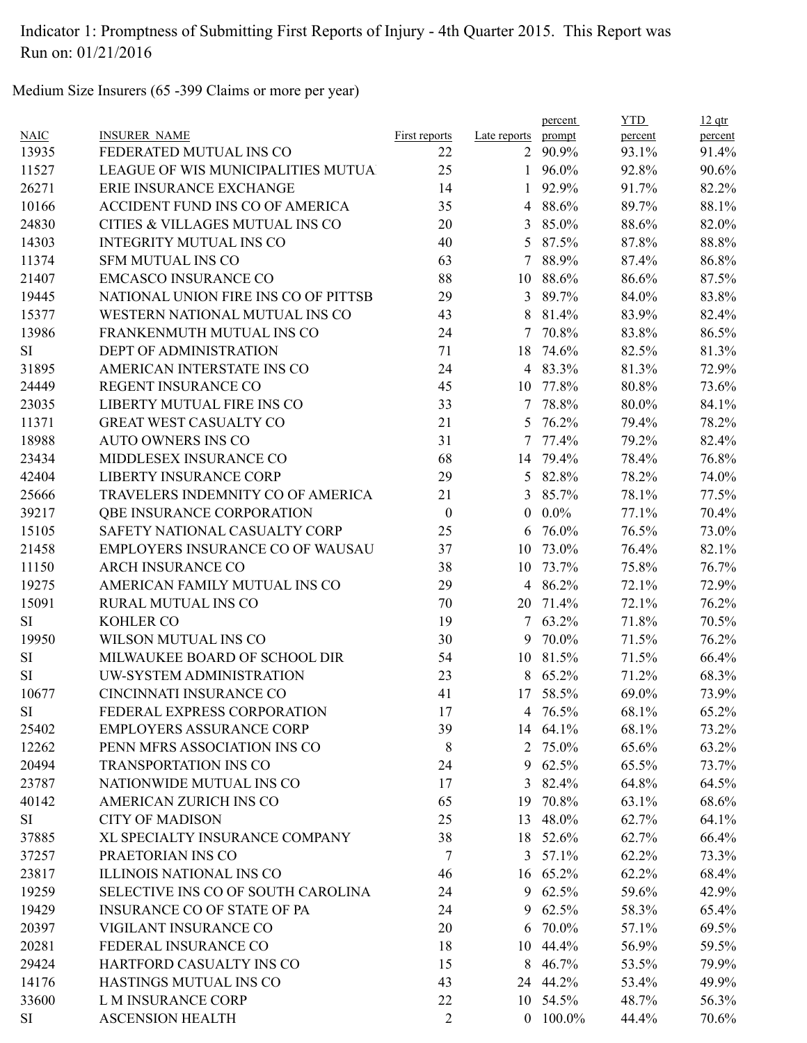Medium Size Insurers (65 -399 Claims or more per year)

|             |                                      |                      |                | percent         | <b>YTD</b> | $12$ qtr |
|-------------|--------------------------------------|----------------------|----------------|-----------------|------------|----------|
| <b>NAIC</b> | <b>INSURER NAME</b>                  | <b>First reports</b> | Late reports   | prompt          | percent    | percent  |
| 13935       | FEDERATED MUTUAL INS CO              | 22                   |                | 2 90.9%         | 93.1%      | 91.4%    |
| 11527       | LEAGUE OF WIS MUNICIPALITIES MUTUA   | 25                   |                | 1 $96.0\%$      | 92.8%      | 90.6%    |
| 26271       | ERIE INSURANCE EXCHANGE              | 14                   | 1              | 92.9%           | 91.7%      | 82.2%    |
| 10166       | ACCIDENT FUND INS CO OF AMERICA      | 35                   |                | 4 88.6%         | 89.7%      | 88.1%    |
| 24830       | CITIES & VILLAGES MUTUAL INS CO      | 20                   | $\mathfrak{Z}$ | 85.0%           | 88.6%      | 82.0%    |
| 14303       | <b>INTEGRITY MUTUAL INS CO</b>       | 40                   |                | 5 87.5%         | 87.8%      | 88.8%    |
| 11374       | <b>SFM MUTUAL INS CO</b>             | 63                   |                | 7 88.9%         | 87.4%      | 86.8%    |
| 21407       | <b>EMCASCO INSURANCE CO</b>          | 88                   |                | 10 88.6%        | 86.6%      | 87.5%    |
| 19445       | NATIONAL UNION FIRE INS CO OF PITTSB | 29                   |                | 3 89.7%         | 84.0%      | 83.8%    |
| 15377       | WESTERN NATIONAL MUTUAL INS CO       | 43                   | 8              | 81.4%           | 83.9%      | 82.4%    |
| 13986       | FRANKENMUTH MUTUAL INS CO            | 24                   | $\tau$         | 70.8%           | 83.8%      | 86.5%    |
| <b>SI</b>   | DEPT OF ADMINISTRATION               | 71                   | 18             | 74.6%           | 82.5%      | 81.3%    |
| 31895       | AMERICAN INTERSTATE INS CO           | 24                   |                | 4 83.3%         | 81.3%      | 72.9%    |
| 24449       | <b>REGENT INSURANCE CO</b>           | 45                   |                | 10 77.8%        | 80.8%      | 73.6%    |
| 23035       | LIBERTY MUTUAL FIRE INS CO           | 33                   |                | 7 78.8%         | 80.0%      | 84.1%    |
| 11371       | <b>GREAT WEST CASUALTY CO</b>        | 21                   |                | 5 76.2%         | 79.4%      | 78.2%    |
| 18988       | <b>AUTO OWNERS INS CO</b>            | 31                   | $\tau$         | 77.4%           | 79.2%      | 82.4%    |
| 23434       | MIDDLESEX INSURANCE CO               | 68                   |                | 14 79.4%        | 78.4%      | 76.8%    |
| 42404       | <b>LIBERTY INSURANCE CORP</b>        | 29                   | 5              | 82.8%           | 78.2%      | 74.0%    |
| 25666       | TRAVELERS INDEMNITY CO OF AMERICA    | 21                   |                | 3 85.7%         | 78.1%      | 77.5%    |
| 39217       | QBE INSURANCE CORPORATION            | $\mathbf{0}$         | $\theta$       | $0.0\%$         | 77.1%      | 70.4%    |
| 15105       | SAFETY NATIONAL CASUALTY CORP        | 25                   |                | $6\quad76.0\%$  | 76.5%      | 73.0%    |
| 21458       | EMPLOYERS INSURANCE CO OF WAUSAU     | 37                   | 10             | 73.0%           | 76.4%      | 82.1%    |
| 11150       | <b>ARCH INSURANCE CO</b>             | 38                   | 10             | 73.7%           | 75.8%      | 76.7%    |
| 19275       | AMERICAN FAMILY MUTUAL INS CO        | 29                   |                | 4 86.2%         | 72.1%      | 72.9%    |
| 15091       | RURAL MUTUAL INS CO                  | 70                   | 20             | 71.4%           | 72.1%      | 76.2%    |
| SI          | <b>KOHLER CO</b>                     | 19                   |                | 7 63.2%         | 71.8%      | 70.5%    |
| 19950       | WILSON MUTUAL INS CO                 | 30                   | 9              | 70.0%           | 71.5%      | 76.2%    |
| <b>SI</b>   | MILWAUKEE BOARD OF SCHOOL DIR        | 54                   |                | 10 81.5%        | 71.5%      | 66.4%    |
| <b>SI</b>   | UW-SYSTEM ADMINISTRATION             | 23                   |                | 8 65.2%         | 71.2%      | 68.3%    |
| 10677       | CINCINNATI INSURANCE CO              | 41                   |                | 17 58.5%        | 69.0%      | 73.9%    |
| <b>SI</b>   | FEDERAL EXPRESS CORPORATION          | 17                   |                | 4 76.5%         | 68.1%      | 65.2%    |
| 25402       | <b>EMPLOYERS ASSURANCE CORP</b>      | 39                   |                | 14 64.1%        | 68.1%      | 73.2%    |
| 12262       | PENN MFRS ASSOCIATION INS CO         | 8                    |                | 2 75.0%         | 65.6%      |          |
|             | <b>TRANSPORTATION INS CO</b>         | 24                   |                |                 |            | 63.2%    |
| 20494       | NATIONWIDE MUTUAL INS CO             |                      | 9              | 62.5%           | 65.5%      | 73.7%    |
| 23787       |                                      | 17                   | 3              | 82.4%           | 64.8%      | 64.5%    |
| 40142       | AMERICAN ZURICH INS CO               | 65                   |                | 19 70.8%        | 63.1%      | 68.6%    |
| SI          | <b>CITY OF MADISON</b>               | 25                   |                | 13 48.0%        | 62.7%      | 64.1%    |
| 37885       | XL SPECIALTY INSURANCE COMPANY       | 38                   |                | 18 52.6%        | 62.7%      | 66.4%    |
| 37257       | PRAETORIAN INS CO                    | $\overline{7}$       |                | $3\quad 57.1\%$ | 62.2%      | 73.3%    |
| 23817       | ILLINOIS NATIONAL INS CO             | 46                   |                | 16 65.2%        | 62.2%      | 68.4%    |
| 19259       | SELECTIVE INS CO OF SOUTH CAROLINA   | 24                   |                | 9 62.5%         | 59.6%      | 42.9%    |
| 19429       | <b>INSURANCE CO OF STATE OF PA</b>   | 24                   | 9              | 62.5%           | 58.3%      | 65.4%    |
| 20397       | VIGILANT INSURANCE CO                | 20                   |                | 6 70.0%         | 57.1%      | 69.5%    |
| 20281       | FEDERAL INSURANCE CO                 | 18                   |                | 10 44.4%        | 56.9%      | 59.5%    |
| 29424       | HARTFORD CASUALTY INS CO             | 15                   | 8              | 46.7%           | 53.5%      | 79.9%    |
| 14176       | HASTINGS MUTUAL INS CO               | 43                   |                | 24 44.2%        | 53.4%      | 49.9%    |
| 33600       | L M INSURANCE CORP                   | 22                   |                | 10 54.5%        | 48.7%      | 56.3%    |
| <b>SI</b>   | <b>ASCENSION HEALTH</b>              | $\overline{2}$       |                | $0$ 100.0%      | 44.4%      | 70.6%    |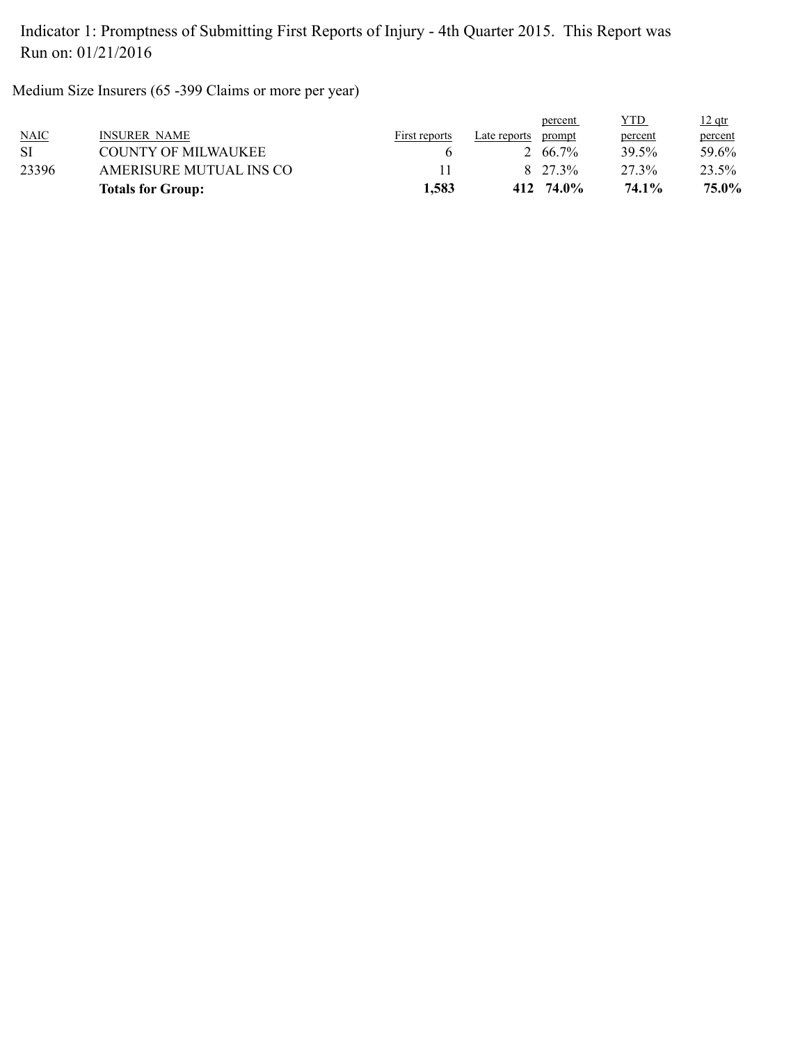Medium Size Insurers (65 -399 Claims or more per year)

|             | <b>Totals for Group:</b> | 1,583         |              | $412 \quad 74.0\%$ | 74.1%   | 75.0%    |
|-------------|--------------------------|---------------|--------------|--------------------|---------|----------|
| 23396       | AMERISURE MUTUAL INS CO  |               |              | 8 27 3%            | 27 3%   | 23.5%    |
| SI          | COUNTY OF MILWAUKEE      |               |              | 2 66 7\%           | 39.5%   | 59.6%    |
| <b>NAIC</b> | <b>INSURER NAME</b>      | First reports | Late reports | prompt             | percent | percent  |
|             |                          |               |              | percent            | YTD     | $12$ qtr |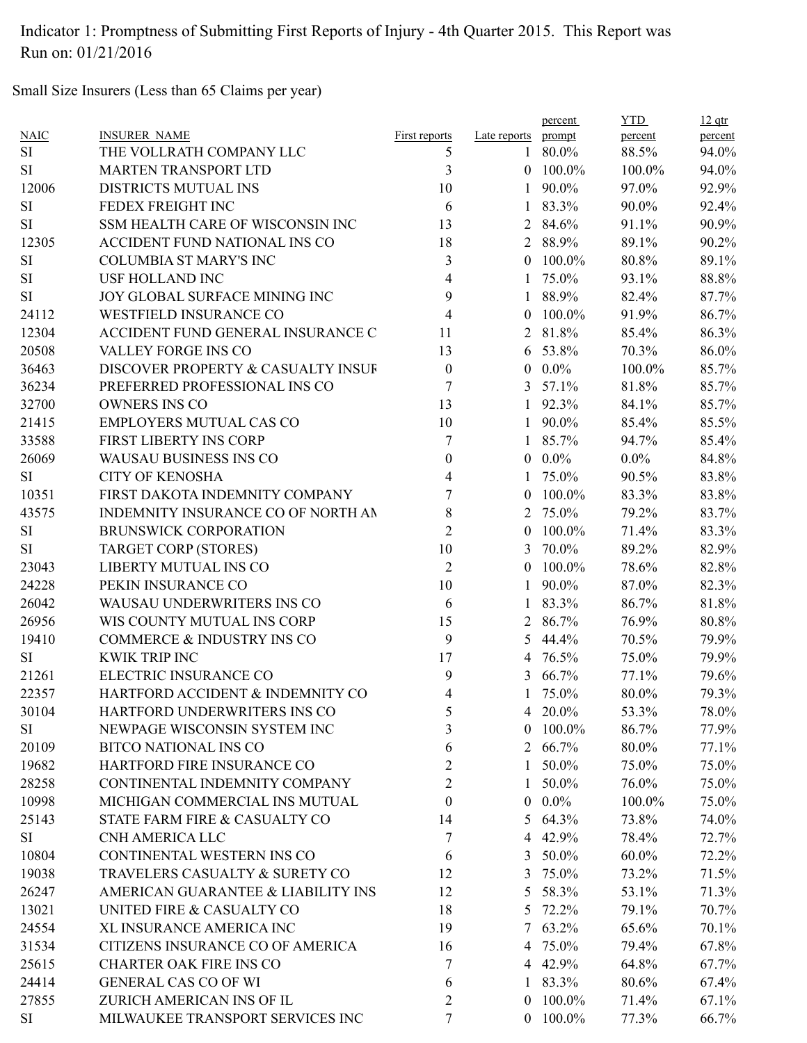Small Size Insurers (Less than 65 Claims per year)

|             |                                    |                      |                | percent    | <b>YTD</b> | $12$ qtr       |
|-------------|------------------------------------|----------------------|----------------|------------|------------|----------------|
| <b>NAIC</b> | <b>INSURER NAME</b>                | <b>First reports</b> | Late reports   | prompt     | percent    | percent        |
| <b>SI</b>   | THE VOLLRATH COMPANY LLC           | 5                    |                | $180.0\%$  | 88.5%      | 94.0%          |
| SI          | <b>MARTEN TRANSPORT LTD</b>        | 3                    |                | $0$ 100.0% | 100.0%     | 94.0%          |
| 12006       | DISTRICTS MUTUAL INS               | 10                   | $\mathbf{1}$   | 90.0%      | 97.0%      | 92.9%          |
| <b>SI</b>   | FEDEX FREIGHT INC                  | 6                    | $\mathbf{1}$   | 83.3%      | 90.0%      | 92.4%          |
| <b>SI</b>   | SSM HEALTH CARE OF WISCONSIN INC   | 13                   | $\overline{2}$ | 84.6%      | 91.1%      | 90.9%          |
| 12305       | ACCIDENT FUND NATIONAL INS CO      | 18                   |                | 2 88.9%    | 89.1%      | 90.2%          |
| <b>SI</b>   | <b>COLUMBIA ST MARY'S INC</b>      | 3                    | $\theta$       | 100.0%     | 80.8%      | 89.1%          |
| SI          | <b>USF HOLLAND INC</b>             | 4                    |                | 1 75.0%    | 93.1%      | 88.8%          |
| SI          | JOY GLOBAL SURFACE MINING INC      | 9                    |                | 1 88.9%    | 82.4%      | 87.7%          |
| 24112       | <b>WESTFIELD INSURANCE CO</b>      | $\overline{4}$       | $\theta$       | 100.0%     | 91.9%      | 86.7%          |
| 12304       | ACCIDENT FUND GENERAL INSURANCE C  | 11                   | 2              | 81.8%      | 85.4%      | 86.3%          |
| 20508       | VALLEY FORGE INS CO                | 13                   |                | 6 53.8%    | 70.3%      | 86.0%          |
| 36463       | DISCOVER PROPERTY & CASUALTY INSUF | $\boldsymbol{0}$     |                | $0.0\%$    | 100.0%     | 85.7%          |
| 36234       | PREFERRED PROFESSIONAL INS CO      | 7                    |                | 3 $57.1\%$ | 81.8%      | 85.7%          |
| 32700       | <b>OWNERS INS CO</b>               | 13                   |                | 1 92.3%    | 84.1%      | 85.7%          |
| 21415       | <b>EMPLOYERS MUTUAL CAS CO</b>     | 10                   |                | 1 90.0%    | 85.4%      | 85.5%          |
| 33588       | FIRST LIBERTY INS CORP             | 7                    | $\mathbf{1}$   | 85.7%      | 94.7%      | 85.4%          |
| 26069       | <b>WAUSAU BUSINESS INS CO</b>      | $\boldsymbol{0}$     | $\overline{0}$ | $0.0\%$    | $0.0\%$    | 84.8%          |
| <b>SI</b>   | <b>CITY OF KENOSHA</b>             | 4                    | 1              | 75.0%      | 90.5%      | 83.8%          |
| 10351       | FIRST DAKOTA INDEMNITY COMPANY     | 7                    |                | $0$ 100.0% | 83.3%      | 83.8%          |
| 43575       | INDEMNITY INSURANCE CO OF NORTH AN | 8                    | 2              | 75.0%      | 79.2%      | 83.7%          |
| <b>SI</b>   | <b>BRUNSWICK CORPORATION</b>       | $\overline{2}$       |                | $0$ 100.0% | 71.4%      | 83.3%          |
| SI          | <b>TARGET CORP (STORES)</b>        | 10                   |                | 3 70.0%    | 89.2%      | 82.9%          |
| 23043       | LIBERTY MUTUAL INS CO              | $\overline{2}$       |                | $0$ 100.0% | 78.6%      | 82.8%          |
| 24228       | PEKIN INSURANCE CO                 | 10                   | $\mathbf{1}$   | 90.0%      | 87.0%      | 82.3%          |
| 26042       | WAUSAU UNDERWRITERS INS CO         | 6                    | $\mathbf{1}$   | 83.3%      | 86.7%      | 81.8%          |
| 26956       | WIS COUNTY MUTUAL INS CORP         | 15                   |                | 2 86.7%    | 76.9%      |                |
|             | COMMERCE & INDUSTRY INS CO         | 9                    |                |            | 70.5%      | 80.8%<br>79.9% |
| 19410       |                                    |                      | 5              | 44.4%      |            |                |
| <b>SI</b>   | <b>KWIK TRIP INC</b>               | 17                   |                | 4 76.5%    | 75.0%      | 79.9%          |
| 21261       | ELECTRIC INSURANCE CO              | 9                    |                | 3 66.7%    | 77.1%      | 79.6%          |
| 22357       | HARTFORD ACCIDENT & INDEMNITY CO   | 4                    |                | 75.0%      | 80.0%      | 79.3%          |
| 30104       | HARTFORD UNDERWRITERS INS CO       | 5                    |                | 4 20.0%    | 53.3%      | 78.0%          |
| <b>SI</b>   | NEWPAGE WISCONSIN SYSTEM INC       | 3                    | $\overline{0}$ | 100.0%     | 86.7%      | 77.9%          |
| 20109       | <b>BITCO NATIONAL INS CO</b>       | 6                    |                | 2 66.7%    | 80.0%      | 77.1%          |
| 19682       | HARTFORD FIRE INSURANCE CO         | 2                    | 1              | 50.0%      | 75.0%      | 75.0%          |
| 28258       | CONTINENTAL INDEMNITY COMPANY      | $\overline{2}$       | 1              | 50.0%      | 76.0%      | 75.0%          |
| 10998       | MICHIGAN COMMERCIAL INS MUTUAL     | $\theta$             | $\overline{0}$ | $0.0\%$    | 100.0%     | 75.0%          |
| 25143       | STATE FARM FIRE & CASUALTY CO      | 14                   |                | 5 64.3%    | 73.8%      | 74.0%          |
| SI          | CNH AMERICA LLC                    | 7                    |                | 4 42.9%    | 78.4%      | 72.7%          |
| 10804       | CONTINENTAL WESTERN INS CO         | 6                    | 3              | 50.0%      | 60.0%      | 72.2%          |
| 19038       | TRAVELERS CASUALTY & SURETY CO     | 12                   |                | 3 75.0%    | 73.2%      | 71.5%          |
| 26247       | AMERICAN GUARANTEE & LIABILITY INS | 12                   | 5              | 58.3%      | 53.1%      | 71.3%          |
| 13021       | UNITED FIRE & CASUALTY CO          | 18                   | 5              | 72.2%      | 79.1%      | 70.7%          |
| 24554       | XL INSURANCE AMERICA INC           | 19                   |                | 7 63.2%    | 65.6%      | 70.1%          |
| 31534       | CITIZENS INSURANCE CO OF AMERICA   | 16                   |                | 4 75.0%    | 79.4%      | 67.8%          |
| 25615       | <b>CHARTER OAK FIRE INS CO</b>     | 7                    |                | 4 42.9%    | 64.8%      | 67.7%          |
| 24414       | <b>GENERAL CAS CO OF WI</b>        | 6                    |                | $183.3\%$  | 80.6%      | 67.4%          |
| 27855       | ZURICH AMERICAN INS OF IL          | $\overline{2}$       |                | $0$ 100.0% | 71.4%      | 67.1%          |
| SI          | MILWAUKEE TRANSPORT SERVICES INC   | 7                    |                | $0$ 100.0% | 77.3%      | 66.7%          |